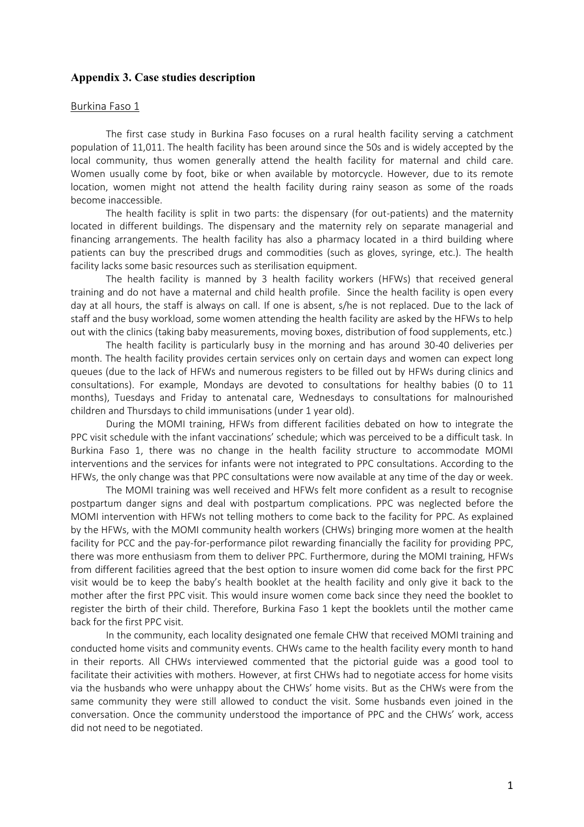# Appendix 3. Case studies description

### Burkina Faso 1

The first case study in Burkina Faso focuses on a rural health facility serving a catchment population of 11,011. The health facility has been around since the 50s and is widely accepted by the local community, thus women generally attend the health facility for maternal and child care. Women usually come by foot, bike or when available by motorcycle. However, due to its remote location, women might not attend the health facility during rainy season as some of the roads become inaccessible.

The health facility is split in two parts: the dispensary (for out-patients) and the maternity located in different buildings. The dispensary and the maternity rely on separate managerial and financing arrangements. The health facility has also a pharmacy located in a third building where patients can buy the prescribed drugs and commodities (such as gloves, syringe, etc.). The health facility lacks some basic resources such as sterilisation equipment.

The health facility is manned by 3 health facility workers (HFWs) that received general training and do not have a maternal and child health profile. Since the health facility is open every day at all hours, the staff is always on call. If one is absent, s/he is not replaced. Due to the lack of staff and the busy workload, some women attending the health facility are asked by the HFWs to help out with the clinics (taking baby measurements, moving boxes, distribution of food supplements, etc.)

The health facility is particularly busy in the morning and has around 30-40 deliveries per month. The health facility provides certain services only on certain days and women can expect long queues (due to the lack of HFWs and numerous registers to be filled out by HFWs during clinics and consultations). For example, Mondays are devoted to consultations for healthy babies (0 to 11 months), Tuesdays and Friday to antenatal care, Wednesdays to consultations for malnourished children and Thursdays to child immunisations (under 1 year old).

During the MOMI training, HFWs from different facilities debated on how to integrate the PPC visit schedule with the infant vaccinations' schedule; which was perceived to be a difficult task. In Burkina Faso 1, there was no change in the health facility structure to accommodate MOMI interventions and the services for infants were not integrated to PPC consultations. According to the HFWs, the only change was that PPC consultations were now available at any time of the day or week.

The MOMI training was well received and HFWs felt more confident as a result to recognise postpartum danger signs and deal with postpartum complications. PPC was neglected before the MOMI intervention with HFWs not telling mothers to come back to the facility for PPC. As explained by the HFWs, with the MOMI community health workers (CHWs) bringing more women at the health facility for PCC and the pay-for-performance pilot rewarding financially the facility for providing PPC, there was more enthusiasm from them to deliver PPC. Furthermore, during the MOMI training, HFWs from different facilities agreed that the best option to insure women did come back for the first PPC visit would be to keep the baby's health booklet at the health facility and only give it back to the mother after the first PPC visit. This would insure women come back since they need the booklet to register the birth of their child. Therefore, Burkina Faso 1 kept the booklets until the mother came back for the first PPC visit.

In the community, each locality designated one female CHW that received MOMI training and conducted home visits and community events. CHWs came to the health facility every month to hand in their reports. All CHWs interviewed commented that the pictorial guide was a good tool to facilitate their activities with mothers. However, at first CHWs had to negotiate access for home visits via the husbands who were unhappy about the CHWs' home visits. But as the CHWs were from the same community they were still allowed to conduct the visit. Some husbands even joined in the conversation. Once the community understood the importance of PPC and the CHWs' work, access did not need to be negotiated.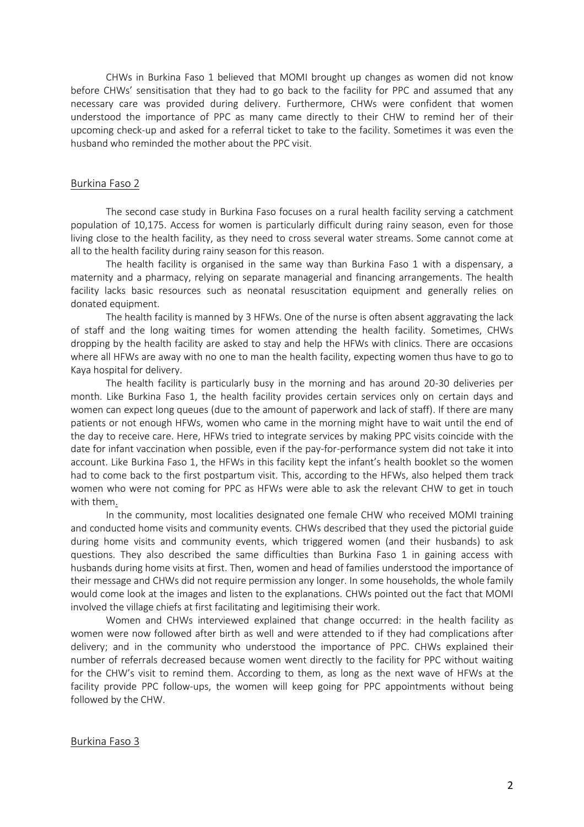CHWs in Burkina Faso 1 believed that MOMI brought up changes as women did not know before CHWs' sensitisation that they had to go back to the facility for PPC and assumed that any necessary care was provided during delivery. Furthermore, CHWs were confident that women understood the importance of PPC as many came directly to their CHW to remind her of their upcoming check-up and asked for a referral ticket to take to the facility. Sometimes it was even the husband who reminded the mother about the PPC visit.

#### Burkina Faso 2

The second case study in Burkina Faso focuses on a rural health facility serving a catchment population of 10,175. Access for women is particularly difficult during rainy season, even for those living close to the health facility, as they need to cross several water streams. Some cannot come at all to the health facility during rainy season for this reason.

The health facility is organised in the same way than Burkina Faso 1 with a dispensary, a maternity and a pharmacy, relying on separate managerial and financing arrangements. The health facility lacks basic resources such as neonatal resuscitation equipment and generally relies on donated equipment.

The health facility is manned by 3 HFWs. One of the nurse is often absent aggravating the lack of staff and the long waiting times for women attending the health facility. Sometimes, CHWs dropping by the health facility are asked to stay and help the HFWs with clinics. There are occasions where all HFWs are away with no one to man the health facility, expecting women thus have to go to Kaya hospital for delivery.

The health facility is particularly busy in the morning and has around 20-30 deliveries per month. Like Burkina Faso 1, the health facility provides certain services only on certain days and women can expect long queues (due to the amount of paperwork and lack of staff). If there are many patients or not enough HFWs, women who came in the morning might have to wait until the end of the day to receive care. Here, HFWs tried to integrate services by making PPC visits coincide with the date for infant vaccination when possible, even if the pay-for-performance system did not take it into account. Like Burkina Faso 1, the HFWs in this facility kept the infant's health booklet so the women had to come back to the first postpartum visit. This, according to the HFWs, also helped them track women who were not coming for PPC as HFWs were able to ask the relevant CHW to get in touch with them.

In the community, most localities designated one female CHW who received MOMI training and conducted home visits and community events. CHWs described that they used the pictorial guide during home visits and community events, which triggered women (and their husbands) to ask questions. They also described the same difficulties than Burkina Faso 1 in gaining access with husbands during home visits at first. Then, women and head of families understood the importance of their message and CHWs did not require permission any longer. In some households, the whole family would come look at the images and listen to the explanations. CHWs pointed out the fact that MOMI involved the village chiefs at first facilitating and legitimising their work.

Women and CHWs interviewed explained that change occurred: in the health facility as women were now followed after birth as well and were attended to if they had complications after delivery; and in the community who understood the importance of PPC. CHWs explained their number of referrals decreased because women went directly to the facility for PPC without waiting for the CHW's visit to remind them. According to them, as long as the next wave of HFWs at the facility provide PPC follow-ups, the women will keep going for PPC appointments without being followed by the CHW.

#### Burkina Faso 3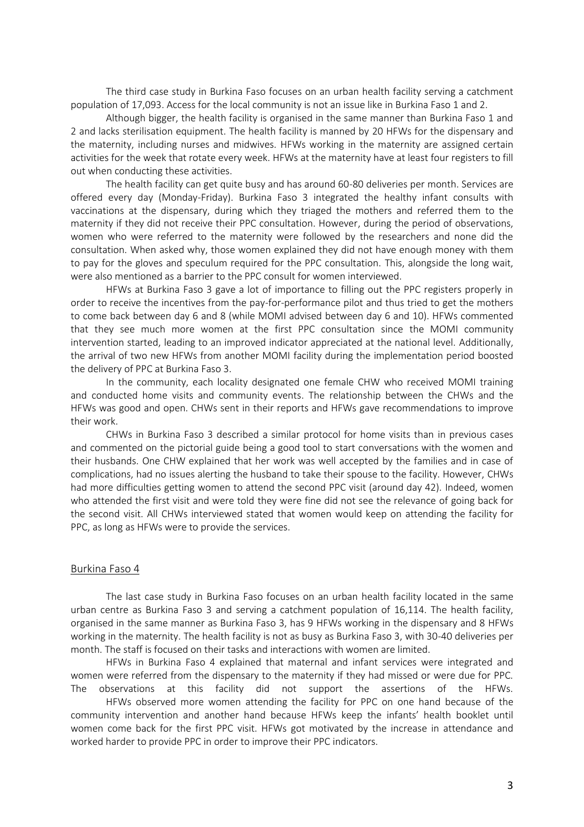The third case study in Burkina Faso focuses on an urban health facility serving a catchment population of 17,093. Access for the local community is not an issue like in Burkina Faso 1 and 2.

Although bigger, the health facility is organised in the same manner than Burkina Faso 1 and 2 and lacks sterilisation equipment. The health facility is manned by 20 HFWs for the dispensary and the maternity, including nurses and midwives. HFWs working in the maternity are assigned certain activities for the week that rotate every week. HFWs at the maternity have at least four registers to fill out when conducting these activities.

The health facility can get quite busy and has around 60-80 deliveries per month. Services are offered every day (Monday-Friday). Burkina Faso 3 integrated the healthy infant consults with vaccinations at the dispensary, during which they triaged the mothers and referred them to the maternity if they did not receive their PPC consultation. However, during the period of observations, women who were referred to the maternity were followed by the researchers and none did the consultation. When asked why, those women explained they did not have enough money with them to pay for the gloves and speculum required for the PPC consultation. This, alongside the long wait, were also mentioned as a barrier to the PPC consult for women interviewed.

HFWs at Burkina Faso 3 gave a lot of importance to filling out the PPC registers properly in order to receive the incentives from the pay-for-performance pilot and thus tried to get the mothers to come back between day 6 and 8 (while MOMI advised between day 6 and 10). HFWs commented that they see much more women at the first PPC consultation since the MOMI community intervention started, leading to an improved indicator appreciated at the national level. Additionally, the arrival of two new HFWs from another MOMI facility during the implementation period boosted the delivery of PPC at Burkina Faso 3.

In the community, each locality designated one female CHW who received MOMI training and conducted home visits and community events. The relationship between the CHWs and the HFWs was good and open. CHWs sent in their reports and HFWs gave recommendations to improve their work.

CHWs in Burkina Faso 3 described a similar protocol for home visits than in previous cases and commented on the pictorial guide being a good tool to start conversations with the women and their husbands. One CHW explained that her work was well accepted by the families and in case of complications, had no issues alerting the husband to take their spouse to the facility. However, CHWs had more difficulties getting women to attend the second PPC visit (around day 42). Indeed, women who attended the first visit and were told they were fine did not see the relevance of going back for the second visit. All CHWs interviewed stated that women would keep on attending the facility for PPC, as long as HFWs were to provide the services.

## Burkina Faso 4

The last case study in Burkina Faso focuses on an urban health facility located in the same urban centre as Burkina Faso 3 and serving a catchment population of 16,114. The health facility, organised in the same manner as Burkina Faso 3, has 9 HFWs working in the dispensary and 8 HFWs working in the maternity. The health facility is not as busy as Burkina Faso 3, with 30-40 deliveries per month. The staff is focused on their tasks and interactions with women are limited.

HFWs in Burkina Faso 4 explained that maternal and infant services were integrated and women were referred from the dispensary to the maternity if they had missed or were due for PPC. The observations at this facility did not support the assertions of the HFWs.

HFWs observed more women attending the facility for PPC on one hand because of the community intervention and another hand because HFWs keep the infants' health booklet until women come back for the first PPC visit. HFWs got motivated by the increase in attendance and worked harder to provide PPC in order to improve their PPC indicators.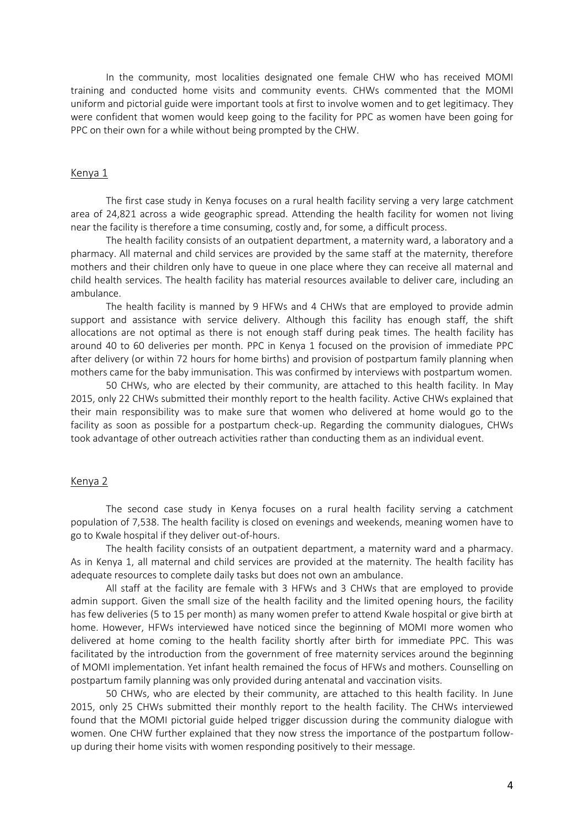In the community, most localities designated one female CHW who has received MOMI training and conducted home visits and community events. CHWs commented that the MOMI uniform and pictorial guide were important tools at first to involve women and to get legitimacy. They were confident that women would keep going to the facility for PPC as women have been going for PPC on their own for a while without being prompted by the CHW.

### Kenya 1

The first case study in Kenya focuses on a rural health facility serving a very large catchment area of 24,821 across a wide geographic spread. Attending the health facility for women not living near the facility is therefore a time consuming, costly and, for some, a difficult process.

The health facility consists of an outpatient department, a maternity ward, a laboratory and a pharmacy. All maternal and child services are provided by the same staff at the maternity, therefore mothers and their children only have to queue in one place where they can receive all maternal and child health services. The health facility has material resources available to deliver care, including an ambulance.

The health facility is manned by 9 HFWs and 4 CHWs that are employed to provide admin support and assistance with service delivery. Although this facility has enough staff, the shift allocations are not optimal as there is not enough staff during peak times. The health facility has around 40 to 60 deliveries per month. PPC in Kenya 1 focused on the provision of immediate PPC after delivery (or within 72 hours for home births) and provision of postpartum family planning when mothers came for the baby immunisation. This was confirmed by interviews with postpartum women.

50 CHWs, who are elected by their community, are attached to this health facility. In May 2015, only 22 CHWs submitted their monthly report to the health facility. Active CHWs explained that their main responsibility was to make sure that women who delivered at home would go to the facility as soon as possible for a postpartum check-up. Regarding the community dialogues, CHWs took advantage of other outreach activities rather than conducting them as an individual event.

## Kenya 2

The second case study in Kenya focuses on a rural health facility serving a catchment population of 7,538. The health facility is closed on evenings and weekends, meaning women have to go to Kwale hospital if they deliver out-of-hours.

The health facility consists of an outpatient department, a maternity ward and a pharmacy. As in Kenya 1, all maternal and child services are provided at the maternity. The health facility has adequate resources to complete daily tasks but does not own an ambulance.

All staff at the facility are female with 3 HFWs and 3 CHWs that are employed to provide admin support. Given the small size of the health facility and the limited opening hours, the facility has few deliveries (5 to 15 per month) as many women prefer to attend Kwale hospital or give birth at home. However, HFWs interviewed have noticed since the beginning of MOMI more women who delivered at home coming to the health facility shortly after birth for immediate PPC. This was facilitated by the introduction from the government of free maternity services around the beginning of MOMI implementation. Yet infant health remained the focus of HFWs and mothers. Counselling on postpartum family planning was only provided during antenatal and vaccination visits.

50 CHWs, who are elected by their community, are attached to this health facility. In June 2015, only 25 CHWs submitted their monthly report to the health facility. The CHWs interviewed found that the MOMI pictorial guide helped trigger discussion during the community dialogue with women. One CHW further explained that they now stress the importance of the postpartum followup during their home visits with women responding positively to their message.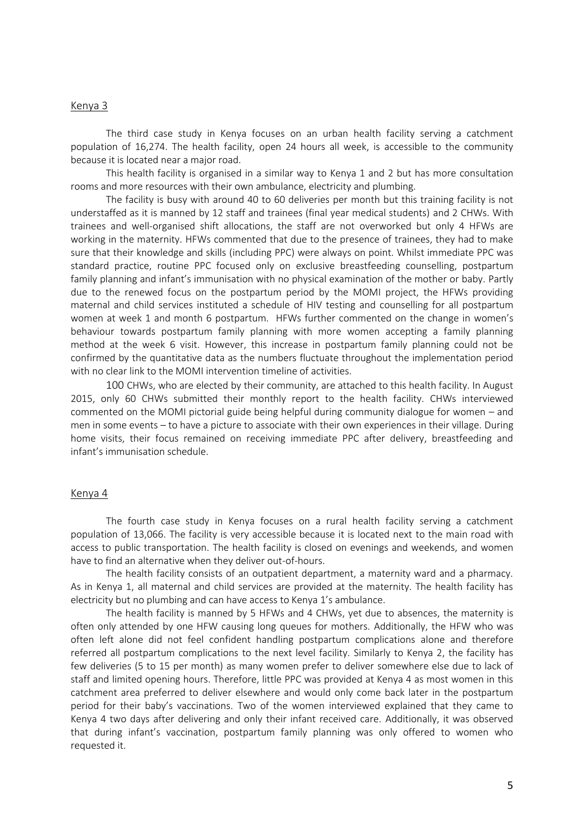#### Kenya 3

The third case study in Kenya focuses on an urban health facility serving a catchment population of 16,274. The health facility, open 24 hours all week, is accessible to the community because it is located near a major road.

This health facility is organised in a similar way to Kenya 1 and 2 but has more consultation rooms and more resources with their own ambulance, electricity and plumbing.

The facility is busy with around 40 to 60 deliveries per month but this training facility is not understaffed as it is manned by 12 staff and trainees (final year medical students) and 2 CHWs. With trainees and well-organised shift allocations, the staff are not overworked but only 4 HFWs are working in the maternity. HFWs commented that due to the presence of trainees, they had to make sure that their knowledge and skills (including PPC) were always on point. Whilst immediate PPC was standard practice, routine PPC focused only on exclusive breastfeeding counselling, postpartum family planning and infant's immunisation with no physical examination of the mother or baby. Partly due to the renewed focus on the postpartum period by the MOMI project, the HFWs providing maternal and child services instituted a schedule of HIV testing and counselling for all postpartum women at week 1 and month 6 postpartum. HFWs further commented on the change in women's behaviour towards postpartum family planning with more women accepting a family planning method at the week 6 visit. However, this increase in postpartum family planning could not be confirmed by the quantitative data as the numbers fluctuate throughout the implementation period with no clear link to the MOMI intervention timeline of activities.

100 CHWs, who are elected by their community, are attached to this health facility. In August 2015, only 60 CHWs submitted their monthly report to the health facility. CHWs interviewed commented on the MOMI pictorial guide being helpful during community dialogue for women – and men in some events – to have a picture to associate with their own experiences in their village. During home visits, their focus remained on receiving immediate PPC after delivery, breastfeeding and infant's immunisation schedule.

### Kenya 4

The fourth case study in Kenya focuses on a rural health facility serving a catchment population of 13,066. The facility is very accessible because it is located next to the main road with access to public transportation. The health facility is closed on evenings and weekends, and women have to find an alternative when they deliver out-of-hours.

The health facility consists of an outpatient department, a maternity ward and a pharmacy. As in Kenya 1, all maternal and child services are provided at the maternity. The health facility has electricity but no plumbing and can have access to Kenya 1's ambulance.

The health facility is manned by 5 HFWs and 4 CHWs, yet due to absences, the maternity is often only attended by one HFW causing long queues for mothers. Additionally, the HFW who was often left alone did not feel confident handling postpartum complications alone and therefore referred all postpartum complications to the next level facility. Similarly to Kenya 2, the facility has few deliveries (5 to 15 per month) as many women prefer to deliver somewhere else due to lack of staff and limited opening hours. Therefore, little PPC was provided at Kenya 4 as most women in this catchment area preferred to deliver elsewhere and would only come back later in the postpartum period for their baby's vaccinations. Two of the women interviewed explained that they came to Kenya 4 two days after delivering and only their infant received care. Additionally, it was observed that during infant's vaccination, postpartum family planning was only offered to women who requested it.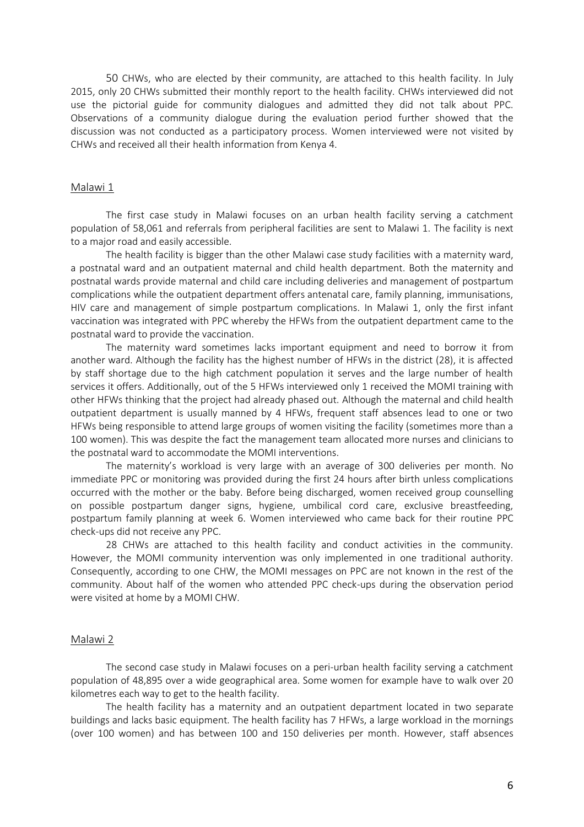50 CHWs, who are elected by their community, are attached to this health facility. In July 2015, only 20 CHWs submitted their monthly report to the health facility. CHWs interviewed did not use the pictorial guide for community dialogues and admitted they did not talk about PPC. Observations of a community dialogue during the evaluation period further showed that the discussion was not conducted as a participatory process. Women interviewed were not visited by CHWs and received all their health information from Kenya 4.

#### Malawi 1

The first case study in Malawi focuses on an urban health facility serving a catchment population of 58,061 and referrals from peripheral facilities are sent to Malawi 1. The facility is next to a major road and easily accessible.

The health facility is bigger than the other Malawi case study facilities with a maternity ward, a postnatal ward and an outpatient maternal and child health department. Both the maternity and postnatal wards provide maternal and child care including deliveries and management of postpartum complications while the outpatient department offers antenatal care, family planning, immunisations, HIV care and management of simple postpartum complications. In Malawi 1, only the first infant vaccination was integrated with PPC whereby the HFWs from the outpatient department came to the postnatal ward to provide the vaccination.

The maternity ward sometimes lacks important equipment and need to borrow it from another ward. Although the facility has the highest number of HFWs in the district (28), it is affected by staff shortage due to the high catchment population it serves and the large number of health services it offers. Additionally, out of the 5 HFWs interviewed only 1 received the MOMI training with other HFWs thinking that the project had already phased out. Although the maternal and child health outpatient department is usually manned by 4 HFWs, frequent staff absences lead to one or two HFWs being responsible to attend large groups of women visiting the facility (sometimes more than a 100 women). This was despite the fact the management team allocated more nurses and clinicians to the postnatal ward to accommodate the MOMI interventions.

The maternity's workload is very large with an average of 300 deliveries per month. No immediate PPC or monitoring was provided during the first 24 hours after birth unless complications occurred with the mother or the baby. Before being discharged, women received group counselling on possible postpartum danger signs, hygiene, umbilical cord care, exclusive breastfeeding, postpartum family planning at week 6. Women interviewed who came back for their routine PPC check-ups did not receive any PPC.

28 CHWs are attached to this health facility and conduct activities in the community. However, the MOMI community intervention was only implemented in one traditional authority. Consequently, according to one CHW, the MOMI messages on PPC are not known in the rest of the community. About half of the women who attended PPC check-ups during the observation period were visited at home by a MOMI CHW.

### Malawi 2

The second case study in Malawi focuses on a peri-urban health facility serving a catchment population of 48,895 over a wide geographical area. Some women for example have to walk over 20 kilometres each way to get to the health facility.

The health facility has a maternity and an outpatient department located in two separate buildings and lacks basic equipment. The health facility has 7 HFWs, a large workload in the mornings (over 100 women) and has between 100 and 150 deliveries per month. However, staff absences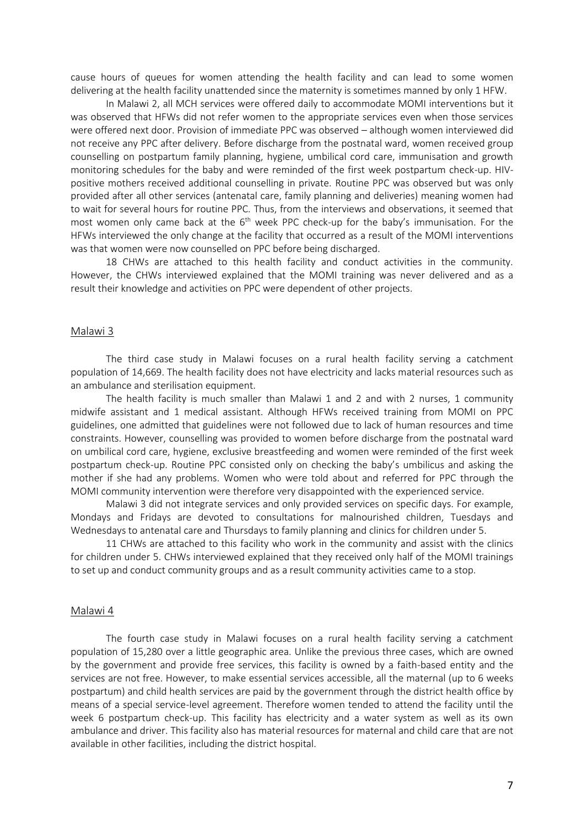cause hours of queues for women attending the health facility and can lead to some women delivering at the health facility unattended since the maternity is sometimes manned by only 1 HFW.

In Malawi 2, all MCH services were offered daily to accommodate MOMI interventions but it was observed that HFWs did not refer women to the appropriate services even when those services were offered next door. Provision of immediate PPC was observed – although women interviewed did not receive any PPC after delivery. Before discharge from the postnatal ward, women received group counselling on postpartum family planning, hygiene, umbilical cord care, immunisation and growth monitoring schedules for the baby and were reminded of the first week postpartum check-up. HIVpositive mothers received additional counselling in private. Routine PPC was observed but was only provided after all other services (antenatal care, family planning and deliveries) meaning women had to wait for several hours for routine PPC. Thus, from the interviews and observations, it seemed that most women only came back at the 6<sup>th</sup> week PPC check-up for the baby's immunisation. For the HFWs interviewed the only change at the facility that occurred as a result of the MOMI interventions was that women were now counselled on PPC before being discharged.

18 CHWs are attached to this health facility and conduct activities in the community. However, the CHWs interviewed explained that the MOMI training was never delivered and as a result their knowledge and activities on PPC were dependent of other projects.

# Malawi 3

The third case study in Malawi focuses on a rural health facility serving a catchment population of 14,669. The health facility does not have electricity and lacks material resources such as an ambulance and sterilisation equipment.

The health facility is much smaller than Malawi 1 and 2 and with 2 nurses, 1 community midwife assistant and 1 medical assistant. Although HFWs received training from MOMI on PPC guidelines, one admitted that guidelines were not followed due to lack of human resources and time constraints. However, counselling was provided to women before discharge from the postnatal ward on umbilical cord care, hygiene, exclusive breastfeeding and women were reminded of the first week postpartum check-up. Routine PPC consisted only on checking the baby's umbilicus and asking the mother if she had any problems. Women who were told about and referred for PPC through the MOMI community intervention were therefore very disappointed with the experienced service.

Malawi 3 did not integrate services and only provided services on specific days. For example, Mondays and Fridays are devoted to consultations for malnourished children, Tuesdays and Wednesdays to antenatal care and Thursdays to family planning and clinics for children under 5.

11 CHWs are attached to this facility who work in the community and assist with the clinics for children under 5. CHWs interviewed explained that they received only half of the MOMI trainings to set up and conduct community groups and as a result community activities came to a stop.

# Malawi 4

The fourth case study in Malawi focuses on a rural health facility serving a catchment population of 15,280 over a little geographic area. Unlike the previous three cases, which are owned by the government and provide free services, this facility is owned by a faith-based entity and the services are not free. However, to make essential services accessible, all the maternal (up to 6 weeks postpartum) and child health services are paid by the government through the district health office by means of a special service-level agreement. Therefore women tended to attend the facility until the week 6 postpartum check-up. This facility has electricity and a water system as well as its own ambulance and driver. This facility also has material resources for maternal and child care that are not available in other facilities, including the district hospital.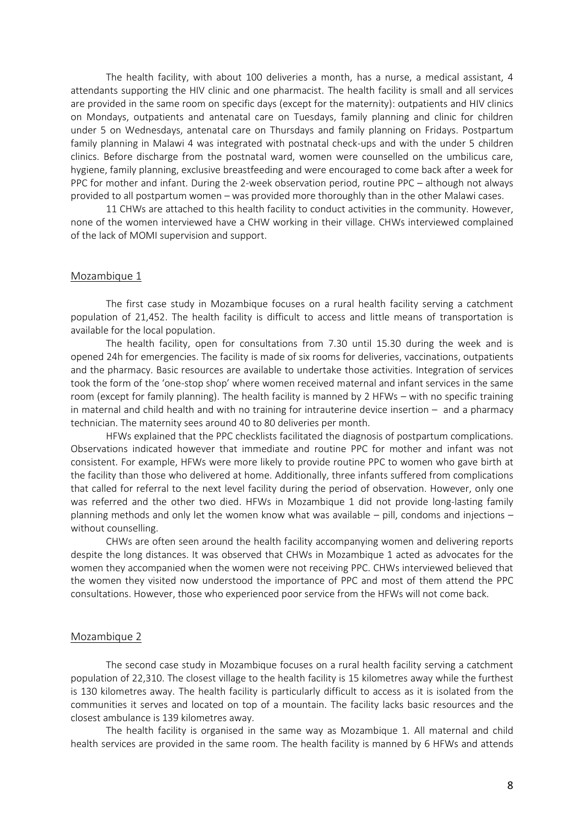The health facility, with about 100 deliveries a month, has a nurse, a medical assistant, 4 attendants supporting the HIV clinic and one pharmacist. The health facility is small and all services are provided in the same room on specific days (except for the maternity): outpatients and HIV clinics on Mondays, outpatients and antenatal care on Tuesdays, family planning and clinic for children under 5 on Wednesdays, antenatal care on Thursdays and family planning on Fridays. Postpartum family planning in Malawi 4 was integrated with postnatal check-ups and with the under 5 children clinics. Before discharge from the postnatal ward, women were counselled on the umbilicus care, hygiene, family planning, exclusive breastfeeding and were encouraged to come back after a week for PPC for mother and infant. During the 2-week observation period, routine PPC – although not always provided to all postpartum women – was provided more thoroughly than in the other Malawi cases.

11 CHWs are attached to this health facility to conduct activities in the community. However, none of the women interviewed have a CHW working in their village. CHWs interviewed complained of the lack of MOMI supervision and support.

# Mozambique 1

The first case study in Mozambique focuses on a rural health facility serving a catchment population of 21,452. The health facility is difficult to access and little means of transportation is available for the local population.

The health facility, open for consultations from 7.30 until 15.30 during the week and is opened 24h for emergencies. The facility is made of six rooms for deliveries, vaccinations, outpatients and the pharmacy. Basic resources are available to undertake those activities. Integration of services took the form of the 'one-stop shop' where women received maternal and infant services in the same room (except for family planning). The health facility is manned by 2 HFWs – with no specific training in maternal and child health and with no training for intrauterine device insertion – and a pharmacy technician. The maternity sees around 40 to 80 deliveries per month.

HFWs explained that the PPC checklists facilitated the diagnosis of postpartum complications. Observations indicated however that immediate and routine PPC for mother and infant was not consistent. For example, HFWs were more likely to provide routine PPC to women who gave birth at the facility than those who delivered at home. Additionally, three infants suffered from complications that called for referral to the next level facility during the period of observation. However, only one was referred and the other two died. HFWs in Mozambique 1 did not provide long-lasting family planning methods and only let the women know what was available – pill, condoms and injections – without counselling.

CHWs are often seen around the health facility accompanying women and delivering reports despite the long distances. It was observed that CHWs in Mozambique 1 acted as advocates for the women they accompanied when the women were not receiving PPC. CHWs interviewed believed that the women they visited now understood the importance of PPC and most of them attend the PPC consultations. However, those who experienced poor service from the HFWs will not come back.

#### Mozambique 2

The second case study in Mozambique focuses on a rural health facility serving a catchment population of 22,310. The closest village to the health facility is 15 kilometres away while the furthest is 130 kilometres away. The health facility is particularly difficult to access as it is isolated from the communities it serves and located on top of a mountain. The facility lacks basic resources and the closest ambulance is 139 kilometres away.

The health facility is organised in the same way as Mozambique 1. All maternal and child health services are provided in the same room. The health facility is manned by 6 HFWs and attends